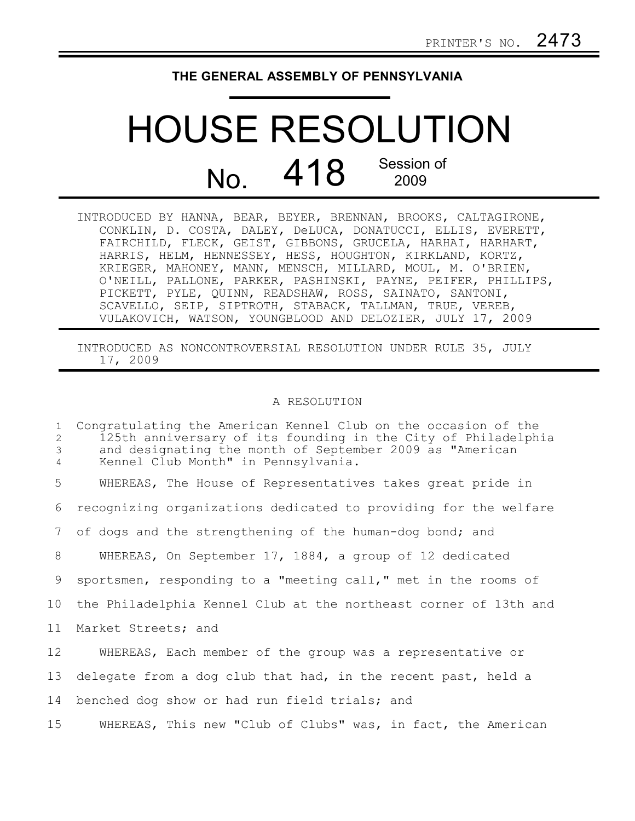## **THE GENERAL ASSEMBLY OF PENNSYLVANIA**

## HOUSE RESOLUTION No. 418 Session of 2009

INTRODUCED BY HANNA, BEAR, BEYER, BRENNAN, BROOKS, CALTAGIRONE, CONKLIN, D. COSTA, DALEY, DeLUCA, DONATUCCI, ELLIS, EVERETT, FAIRCHILD, FLECK, GEIST, GIBBONS, GRUCELA, HARHAI, HARHART, HARRIS, HELM, HENNESSEY, HESS, HOUGHTON, KIRKLAND, KORTZ, KRIEGER, MAHONEY, MANN, MENSCH, MILLARD, MOUL, M. O'BRIEN, O'NEILL, PALLONE, PARKER, PASHINSKI, PAYNE, PEIFER, PHILLIPS, PICKETT, PYLE, QUINN, READSHAW, ROSS, SAINATO, SANTONI, SCAVELLO, SEIP, SIPTROTH, STABACK, TALLMAN, TRUE, VEREB, VULAKOVICH, WATSON, YOUNGBLOOD AND DELOZIER, JULY 17, 2009

INTRODUCED AS NONCONTROVERSIAL RESOLUTION UNDER RULE 35, JULY 17, 2009

## A RESOLUTION

Congratulating the American Kennel Club on the occasion of the 125th anniversary of its founding in the City of Philadelphia and designating the month of September 2009 as "American Kennel Club Month" in Pennsylvania. WHEREAS, The House of Representatives takes great pride in recognizing organizations dedicated to providing for the welfare of dogs and the strengthening of the human-dog bond; and WHEREAS, On September 17, 1884, a group of 12 dedicated sportsmen, responding to a "meeting call," met in the rooms of the Philadelphia Kennel Club at the northeast corner of 13th and Market Streets; and WHEREAS, Each member of the group was a representative or delegate from a dog club that had, in the recent past, held a benched dog show or had run field trials; and WHEREAS, This new "Club of Clubs" was, in fact, the American 1 2 3 4 5 6 7 8 9 10 11 12 13 14 15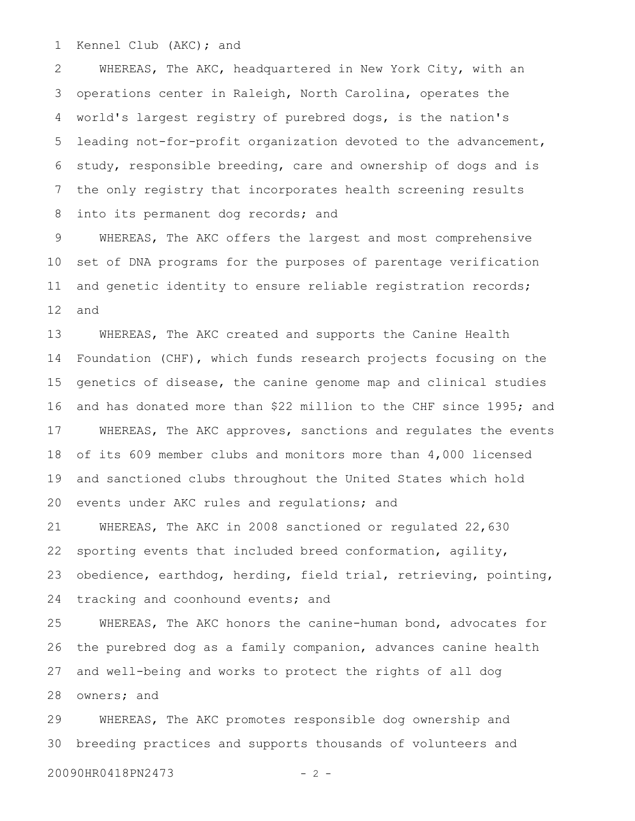Kennel Club (AKC); and 1

WHEREAS, The AKC, headquartered in New York City, with an operations center in Raleigh, North Carolina, operates the world's largest registry of purebred dogs, is the nation's leading not-for-profit organization devoted to the advancement, study, responsible breeding, care and ownership of dogs and is the only registry that incorporates health screening results into its permanent dog records; and 2 3 4 5 6 7 8

WHEREAS, The AKC offers the largest and most comprehensive set of DNA programs for the purposes of parentage verification and genetic identity to ensure reliable registration records; and 9 10 11 12

WHEREAS, The AKC created and supports the Canine Health Foundation (CHF), which funds research projects focusing on the genetics of disease, the canine genome map and clinical studies and has donated more than \$22 million to the CHF since 1995; and WHEREAS, The AKC approves, sanctions and regulates the events of its 609 member clubs and monitors more than 4,000 licensed and sanctioned clubs throughout the United States which hold events under AKC rules and regulations; and 13 14 15 16 17 18 19 20

WHEREAS, The AKC in 2008 sanctioned or regulated 22,630 sporting events that included breed conformation, agility, obedience, earthdog, herding, field trial, retrieving, pointing, tracking and coonhound events; and 21 22 23 24

WHEREAS, The AKC honors the canine-human bond, advocates for the purebred dog as a family companion, advances canine health and well-being and works to protect the rights of all dog owners; and 25 26 27 28

WHEREAS, The AKC promotes responsible dog ownership and breeding practices and supports thousands of volunteers and 29 30

20090HR0418PN2473 - 2 -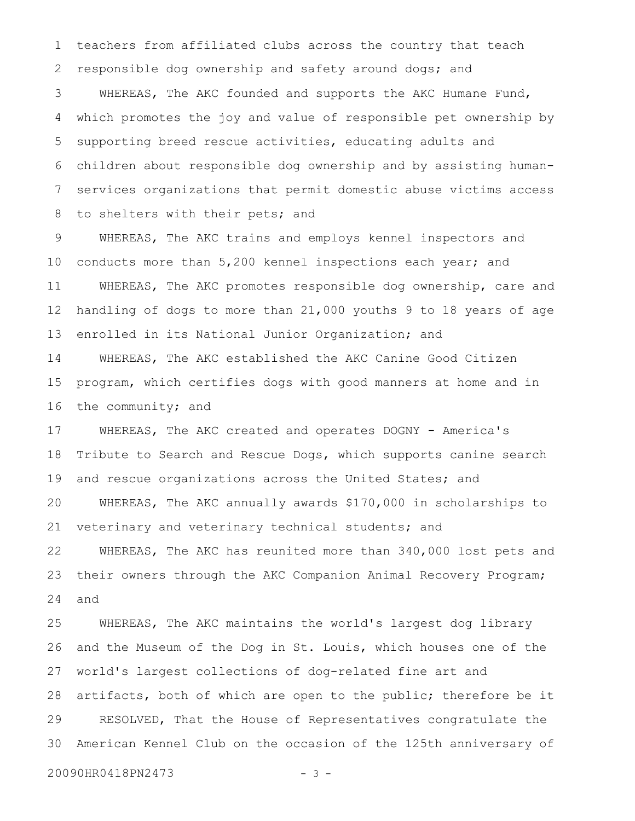teachers from affiliated clubs across the country that teach responsible dog ownership and safety around dogs; and WHEREAS, The AKC founded and supports the AKC Humane Fund, which promotes the joy and value of responsible pet ownership by supporting breed rescue activities, educating adults and children about responsible dog ownership and by assisting humanservices organizations that permit domestic abuse victims access to shelters with their pets; and 1 2 3 4 5 6 7 8

WHEREAS, The AKC trains and employs kennel inspectors and conducts more than 5,200 kennel inspections each year; and WHEREAS, The AKC promotes responsible dog ownership, care and handling of dogs to more than 21,000 youths 9 to 18 years of age enrolled in its National Junior Organization; and 9 10 11 12 13

WHEREAS, The AKC established the AKC Canine Good Citizen program, which certifies dogs with good manners at home and in the community; and 14 15 16

WHEREAS, The AKC created and operates DOGNY - America's Tribute to Search and Rescue Dogs, which supports canine search and rescue organizations across the United States; and WHEREAS, The AKC annually awards \$170,000 in scholarships to veterinary and veterinary technical students; and WHEREAS, The AKC has reunited more than 340,000 lost pets and their owners through the AKC Companion Animal Recovery Program; and 17 18 19 20 21 22 23 24

WHEREAS, The AKC maintains the world's largest dog library and the Museum of the Dog in St. Louis, which houses one of the world's largest collections of dog-related fine art and artifacts, both of which are open to the public; therefore be it RESOLVED, That the House of Representatives congratulate the American Kennel Club on the occasion of the 125th anniversary of 25 26 27 28 29 30

20090HR0418PN2473 - 3 -